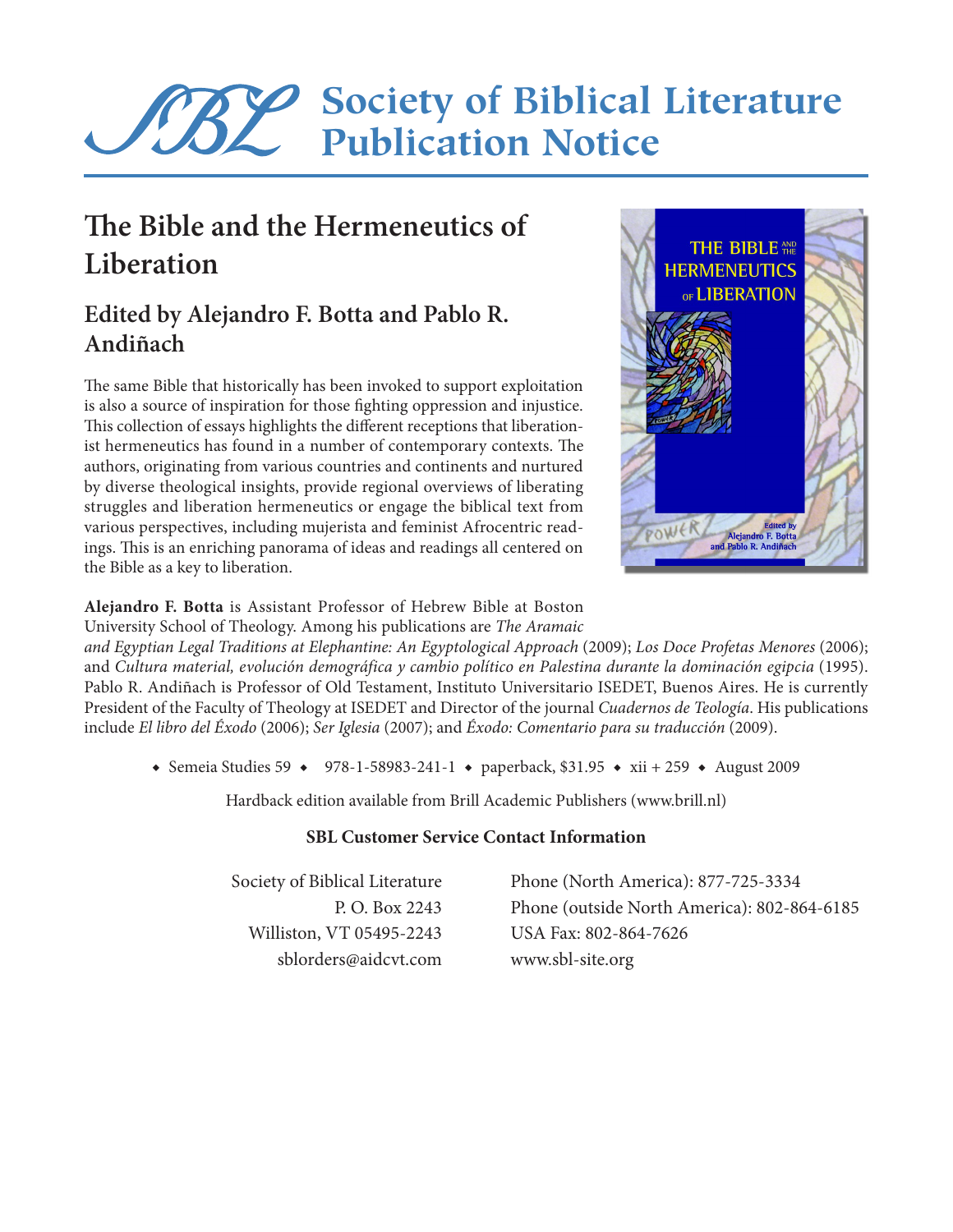# **Society of Biblical Literature Publication Notice**

## **The Bible and the Hermeneutics of Liberation**

## **Edited by Alejandro F. Botta and Pablo R. Andiñach**

The same Bible that historically has been invoked to support exploitation is also a source of inspiration for those fighting oppression and injustice. This collection of essays highlights the different receptions that liberationist hermeneutics has found in a number of contemporary contexts. The authors, originating from various countries and continents and nurtured by diverse theological insights, provide regional overviews of liberating struggles and liberation hermeneutics or engage the biblical text from various perspectives, including mujerista and feminist Afrocentric readings. This is an enriching panorama of ideas and readings all centered on the Bible as a key to liberation.



**Alejandro F. Botta** is Assistant Professor of Hebrew Bible at Boston University School of Theology. Among his publications are *The Aramaic* 

*and Egyptian Legal Traditions at Elephantine: An Egyptological Approach* (2009); *Los Doce Profetas Menores* (2006); and *Cultura material, evolución demográfica y cambio político en Palestina durante la dominación egipcia* (1995). Pablo R. Andiñach is Professor of Old Testament, Instituto Universitario ISEDET, Buenos Aires. He is currently President of the Faculty of Theology at ISEDET and Director of the journal *Cuadernos de Teología*. His publications include *El libro del Éxodo* (2006); *Ser Iglesia* (2007); and *Éxodo: Comentario para su traducción* (2009).

◆ Semeia Studies 59 ◆ 978-1-58983-241-1 ◆ paperback, \$31.95 ◆ xii + 259 ◆ August 2009

Hardback edition available from Brill Academic Publishers (www.brill.nl)

### **SBL Customer Service Contact Information**

Williston, VT 05495-2243 USA Fax: 802-864-7626 sblorders@aidcvt.com www.sbl-site.org

Society of Biblical Literature Phone (North America): 877-725-3334 P. O. Box 2243 Phone (outside North America): 802-864-6185